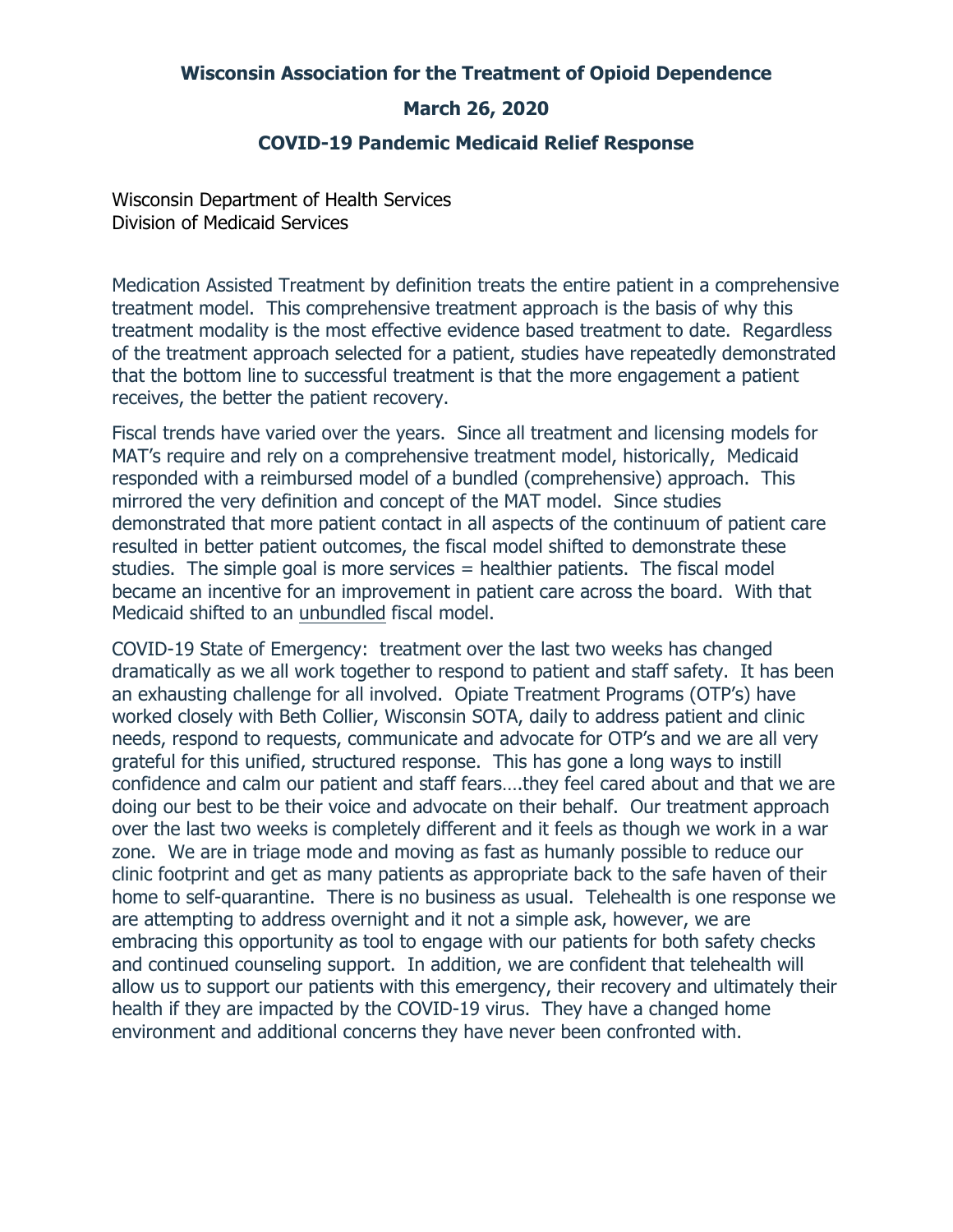#### **March 26, 2020**

#### **COVID-19 Pandemic Medicaid Relief Response**

Wisconsin Department of Health Services Division of Medicaid Services

Medication Assisted Treatment by definition treats the entire patient in a comprehensive treatment model. This comprehensive treatment approach is the basis of why this treatment modality is the most effective evidence based treatment to date. Regardless of the treatment approach selected for a patient, studies have repeatedly demonstrated that the bottom line to successful treatment is that the more engagement a patient receives, the better the patient recovery.

Fiscal trends have varied over the years. Since all treatment and licensing models for MAT's require and rely on a comprehensive treatment model, historically, Medicaid responded with a reimbursed model of a bundled (comprehensive) approach. This mirrored the very definition and concept of the MAT model. Since studies demonstrated that more patient contact in all aspects of the continuum of patient care resulted in better patient outcomes, the fiscal model shifted to demonstrate these studies. The simple goal is more services = healthier patients. The fiscal model became an incentive for an improvement in patient care across the board. With that Medicaid shifted to an unbundled fiscal model.

COVID-19 State of Emergency: treatment over the last two weeks has changed dramatically as we all work together to respond to patient and staff safety. It has been an exhausting challenge for all involved. Opiate Treatment Programs (OTP's) have worked closely with Beth Collier, Wisconsin SOTA, daily to address patient and clinic needs, respond to requests, communicate and advocate for OTP's and we are all very grateful for this unified, structured response. This has gone a long ways to instill confidence and calm our patient and staff fears….they feel cared about and that we are doing our best to be their voice and advocate on their behalf. Our treatment approach over the last two weeks is completely different and it feels as though we work in a war zone. We are in triage mode and moving as fast as humanly possible to reduce our clinic footprint and get as many patients as appropriate back to the safe haven of their home to self-quarantine. There is no business as usual. Telehealth is one response we are attempting to address overnight and it not a simple ask, however, we are embracing this opportunity as tool to engage with our patients for both safety checks and continued counseling support. In addition, we are confident that telehealth will allow us to support our patients with this emergency, their recovery and ultimately their health if they are impacted by the COVID-19 virus. They have a changed home environment and additional concerns they have never been confronted with.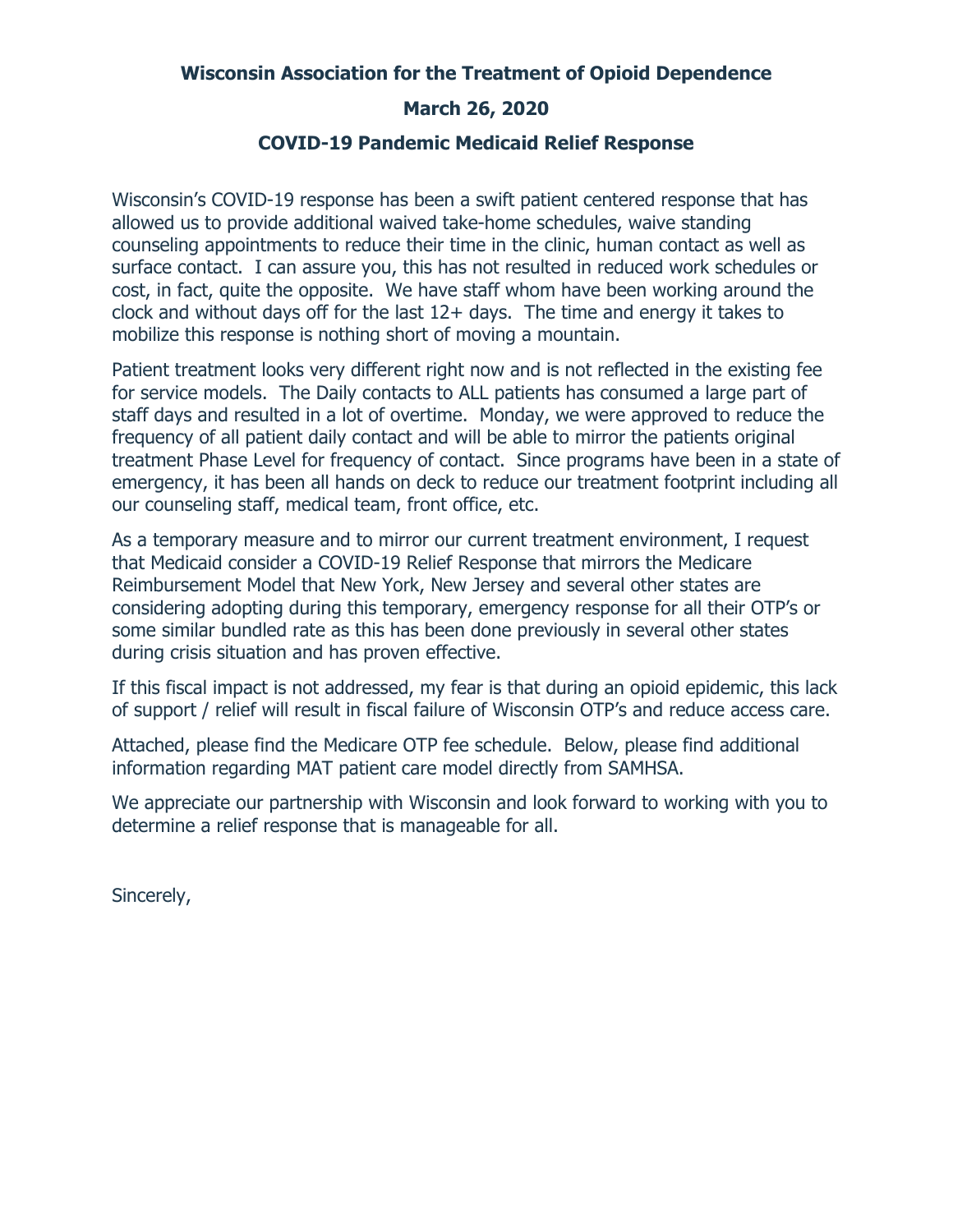### **March 26, 2020**

#### **COVID-19 Pandemic Medicaid Relief Response**

Wisconsin's COVID-19 response has been a swift patient centered response that has allowed us to provide additional waived take-home schedules, waive standing counseling appointments to reduce their time in the clinic, human contact as well as surface contact. I can assure you, this has not resulted in reduced work schedules or cost, in fact, quite the opposite. We have staff whom have been working around the clock and without days off for the last  $12+$  days. The time and energy it takes to mobilize this response is nothing short of moving a mountain.

Patient treatment looks very different right now and is not reflected in the existing fee for service models. The Daily contacts to ALL patients has consumed a large part of staff days and resulted in a lot of overtime. Monday, we were approved to reduce the frequency of all patient daily contact and will be able to mirror the patients original treatment Phase Level for frequency of contact. Since programs have been in a state of emergency, it has been all hands on deck to reduce our treatment footprint including all our counseling staff, medical team, front office, etc.

As a temporary measure and to mirror our current treatment environment, I request that Medicaid consider a COVID-19 Relief Response that mirrors the Medicare Reimbursement Model that New York, New Jersey and several other states are considering adopting during this temporary, emergency response for all their OTP's or some similar bundled rate as this has been done previously in several other states during crisis situation and has proven effective.

If this fiscal impact is not addressed, my fear is that during an opioid epidemic, this lack of support / relief will result in fiscal failure of Wisconsin OTP's and reduce access care.

Attached, please find the Medicare OTP fee schedule. Below, please find additional information regarding MAT patient care model directly from SAMHSA.

We appreciate our partnership with Wisconsin and look forward to working with you to determine a relief response that is manageable for all.

Sincerely,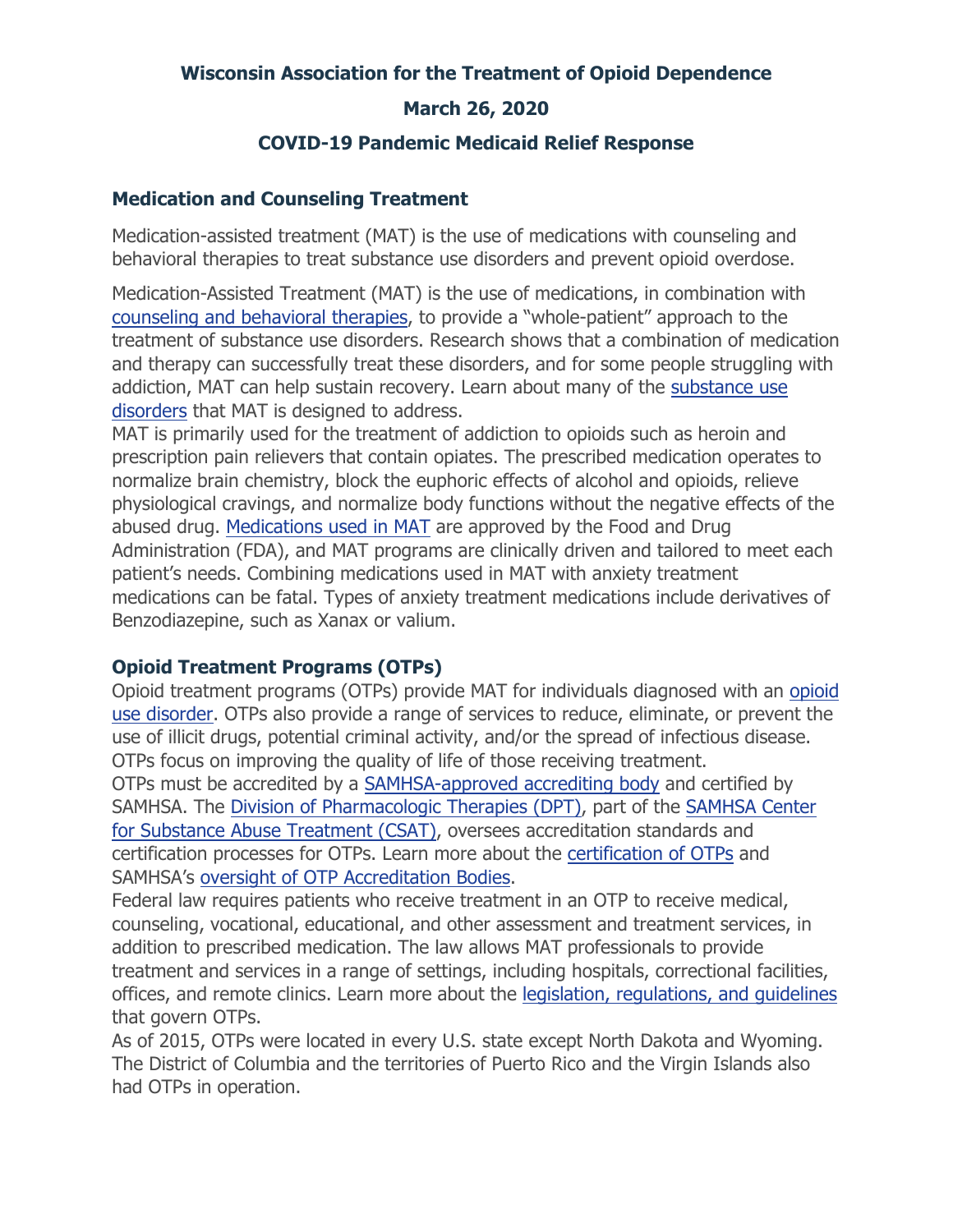# **March 26, 2020**

## **COVID-19 Pandemic Medicaid Relief Response**

#### **Medication and Counseling Treatment**

Medication-assisted treatment (MAT) is the use of medications with counseling and behavioral therapies to treat substance use disorders and prevent opioid overdose.

Medication-Assisted Treatment (MAT) is the use of medications, in combination with counseling and behavioral therapies, to provide a "whole-patient" approach to the treatment of substance use disorders. Research shows that a combination of medication and therapy can successfully treat these disorders, and for some people struggling with addiction, MAT can help sustain recovery. Learn about many of the substance use disorders that MAT is designed to address.

MAT is primarily used for the treatment of addiction to opioids such as heroin and prescription pain relievers that contain opiates. The prescribed medication operates to normalize brain chemistry, block the euphoric effects of alcohol and opioids, relieve physiological cravings, and normalize body functions without the negative effects of the abused drug. Medications used in MAT are approved by the Food and Drug Administration (FDA), and MAT programs are clinically driven and tailored to meet each patient's needs. Combining medications used in MAT with anxiety treatment medications can be fatal. Types of anxiety treatment medications include derivatives of Benzodiazepine, such as Xanax or valium.

## **Opioid Treatment Programs (OTPs)**

Opioid treatment programs (OTPs) provide MAT for individuals diagnosed with an opioid use disorder. OTPs also provide a range of services to reduce, eliminate, or prevent the use of illicit drugs, potential criminal activity, and/or the spread of infectious disease. OTPs focus on improving the quality of life of those receiving treatment. OTPs must be accredited by a SAMHSA-approved accrediting body and certified by SAMHSA. The Division of Pharmacologic Therapies (DPT), part of the SAMHSA Center for Substance Abuse Treatment (CSAT), oversees accreditation standards and certification processes for OTPs. Learn more about the certification of OTPs and SAMHSA's oversight of OTP Accreditation Bodies.

Federal law requires patients who receive treatment in an OTP to receive medical, counseling, vocational, educational, and other assessment and treatment services, in addition to prescribed medication. The law allows MAT professionals to provide treatment and services in a range of settings, including hospitals, correctional facilities, offices, and remote clinics. Learn more about the legislation, regulations, and guidelines that govern OTPs.

As of 2015, OTPs were located in every U.S. state except North Dakota and Wyoming. The District of Columbia and the territories of Puerto Rico and the Virgin Islands also had OTPs in operation.